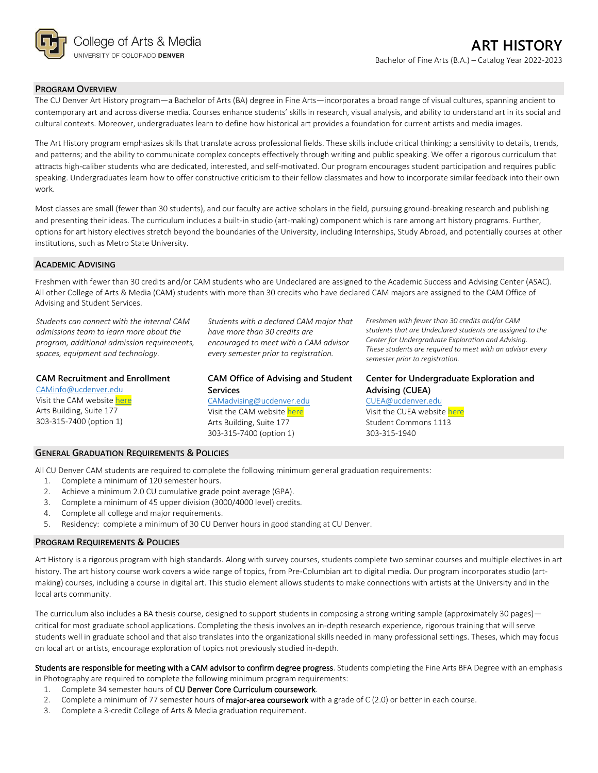

### **PROGRAM OVERVIEW**

The CU Denver Art History program—a Bachelor of Arts (BA) degree in Fine Arts—incorporates a broad range of visual cultures, spanning ancient to contemporary art and across diverse media. Courses enhance students' skills in research, visual analysis, and ability to understand art in its social and cultural contexts. Moreover, undergraduates learn to define how historical art provides a foundation for current artists and media images.

The Art History program emphasizes skills that translate across professional fields. These skills include critical thinking; a sensitivity to details, trends, and patterns; and the ability to communicate complex concepts effectively through writing and public speaking. We offer a rigorous curriculum that attracts high-caliber students who are dedicated, interested, and self-motivated. Our program encourages student participation and requires public speaking. Undergraduates learn how to offer constructive criticism to their fellow classmates and how to incorporate similar feedback into their own work.

Most classes are small (fewer than 30 students), and our faculty are active scholars in the field, pursuing ground-breaking research and publishing and presenting their ideas. The curriculum includes a built-in studio (art-making) component which is rare among art history programs. Further, options for art history electives stretch beyond the boundaries of the University, including Internships, Study Abroad, and potentially courses at other institutions, such as Metro State University.

#### **ACADEMIC ADVISING**

Freshmen with fewer than 30 credits and/or CAM students who are Undeclared are assigned to the Academic Success and Advising Center (ASAC). All other College of Arts & Media (CAM) students with more than 30 credits who have declared CAM majors are assigned to the CAM Office of Advising and Student Services.

*Students can connect with the internal CAM admissions team to learn more about the program, additional admission requirements, spaces, equipment and technology.*

#### **CAM Recruitment and Enrollment**

[CAMinfo@ucdenver.edu](mailto:CAMinfo@ucdenver.edu) Visit the CAM websit[e here](https://artsandmedia.ucdenver.edu/prospective-students/prospective-students) Arts Building, Suite 177 303-315-7400 (option 1)

*Students with a declared CAM major that have more than 30 credits are encouraged to meet with a CAM advisor every semester prior to registration.*

# **CAM Office of Advising and Student Services**

[CAMadvising@ucdenver.edu](mailto:CAMadvising@ucdenver.edu) Visit the CAM websit[e here](https://artsandmedia.ucdenver.edu/current-students/about-academic-advising) Arts Building, Suite 177 303-315-7400 (option 1)

*Freshmen with fewer than 30 credits and/or CAM students that are Undeclared students are assigned to the Center for Undergraduate Exploration and Advising. These students are required to meet with an advisor every semester prior to registration.*

**Center for Undergraduate Exploration and Advising (CUEA)**

[CUEA@ucdenver.edu](mailto:CUEA@ucdenver.edu) Visit the CUEA websit[e here](https://www.ucdenver.edu/center-for-undergraduate-exploration-and-advising) Student Commons 1113 303-315-1940

#### **GENERAL GRADUATION REQUIREMENTS & POLICIES**

All CU Denver CAM students are required to complete the following minimum general graduation requirements:

- 1. Complete a minimum of 120 semester hours.
- 2. Achieve a minimum 2.0 CU cumulative grade point average (GPA).
- 3. Complete a minimum of 45 upper division (3000/4000 level) credits.
- 4. Complete all college and major requirements.
- 5. Residency: complete a minimum of 30 CU Denver hours in good standing at CU Denver.

# **PROGRAM REQUIREMENTS & POLICIES**

Art History is a rigorous program with high standards. Along with survey courses, students complete two seminar courses and multiple electives in art history. The art history course work covers a wide range of topics, from Pre-Columbian art to digital media. Our program incorporates studio (artmaking) courses, including a course in digital art. This studio element allows students to make connections with artists at the University and in the local arts community.

The curriculum also includes a BA thesis course, designed to support students in composing a strong writing sample (approximately 30 pages) critical for most graduate school applications. Completing the thesis involves an in-depth research experience, rigorous training that will serve students well in graduate school and that also translates into the organizational skills needed in many professional settings. Theses, which may focus on local art or artists, encourage exploration of topics not previously studied in-depth.

Students are responsible for meeting with a CAM advisor to confirm degree progress. Students completing the Fine Arts BFA Degree with an emphasis in Photography are required to complete the following minimum program requirements:

- 1. Complete 34 semester hours of CU Denver Core Curriculum coursework.
- 2. Complete a minimum of 77 semester hours of **major-area coursework** with a grade of  $C(2.0)$  or better in each course.
- 3. Complete a 3-credit College of Arts & Media graduation requirement.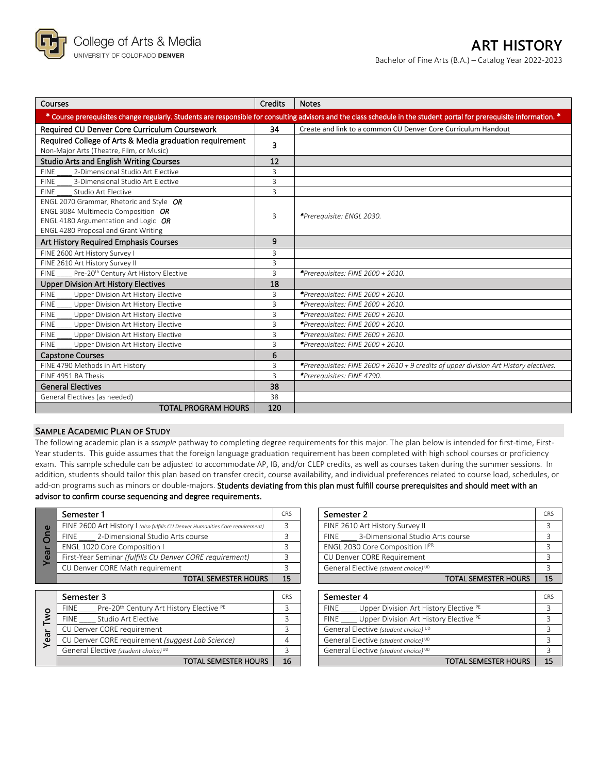

| Courses                                                 | <b>Credits</b>                                                                                                                                                         | <b>Notes</b>                                                                          |  |  |  |  |
|---------------------------------------------------------|------------------------------------------------------------------------------------------------------------------------------------------------------------------------|---------------------------------------------------------------------------------------|--|--|--|--|
|                                                         | * Course prerequisites change regularly. Students are responsible for consulting advisors and the class schedule in the student portal for prerequisite information. * |                                                                                       |  |  |  |  |
| Required CU Denver Core Curriculum Coursework           | 34                                                                                                                                                                     | Create and link to a common CU Denver Core Curriculum Handout                         |  |  |  |  |
| Required College of Arts & Media graduation requirement | 3                                                                                                                                                                      |                                                                                       |  |  |  |  |
| Non-Major Arts (Theatre, Film, or Music)                |                                                                                                                                                                        |                                                                                       |  |  |  |  |
| <b>Studio Arts and English Writing Courses</b>          | 12                                                                                                                                                                     |                                                                                       |  |  |  |  |
| 2-Dimensional Studio Art Elective<br><b>FINE</b>        | $\overline{3}$                                                                                                                                                         |                                                                                       |  |  |  |  |
| <b>FINE</b><br>3-Dimensional Studio Art Elective        | 3                                                                                                                                                                      |                                                                                       |  |  |  |  |
| Studio Art Flective<br><b>FINF</b>                      | $\overline{3}$                                                                                                                                                         |                                                                                       |  |  |  |  |
| ENGL 2070 Grammar, Rhetoric and Style OR                |                                                                                                                                                                        |                                                                                       |  |  |  |  |
| ENGL 3084 Multimedia Composition OR                     | 3                                                                                                                                                                      | *Prerequisite: ENGL 2030.                                                             |  |  |  |  |
| ENGL 4180 Argumentation and Logic $OR$                  |                                                                                                                                                                        |                                                                                       |  |  |  |  |
| ENGL 4280 Proposal and Grant Writing                    |                                                                                                                                                                        |                                                                                       |  |  |  |  |
| <b>Art History Required Emphasis Courses</b>            | 9                                                                                                                                                                      |                                                                                       |  |  |  |  |
| FINE 2600 Art History Survey I                          | 3                                                                                                                                                                      |                                                                                       |  |  |  |  |
| FINE 2610 Art History Survey II                         | 3                                                                                                                                                                      |                                                                                       |  |  |  |  |
| Pre-20th Century Art History Elective<br><b>FINE</b>    | 3                                                                                                                                                                      | *Prerequisites: FINE 2600 + 2610.                                                     |  |  |  |  |
| <b>Upper Division Art History Electives</b>             | 18                                                                                                                                                                     |                                                                                       |  |  |  |  |
| <b>FINE</b><br>Upper Division Art History Elective      | 3                                                                                                                                                                      | *Prerequisites: FINE 2600 + 2610.                                                     |  |  |  |  |
| <b>FINE</b><br>Upper Division Art History Elective      | $\overline{3}$                                                                                                                                                         | *Prerequisites: FINE 2600 + 2610.                                                     |  |  |  |  |
| Upper Division Art History Elective<br><b>FINE</b>      | 3                                                                                                                                                                      | *Prerequisites: FINE 2600 + 2610.                                                     |  |  |  |  |
| Upper Division Art History Elective<br><b>FINE</b>      | 3                                                                                                                                                                      | *Prerequisites: FINE 2600 + 2610.                                                     |  |  |  |  |
| Upper Division Art History Elective<br><b>FINE</b>      | 3                                                                                                                                                                      | *Prerequisites: FINE 2600 + 2610.                                                     |  |  |  |  |
| <b>FINE</b><br>Upper Division Art History Elective      | 3                                                                                                                                                                      | *Prerequisites: FINE 2600 + 2610.                                                     |  |  |  |  |
| <b>Capstone Courses</b>                                 | 6                                                                                                                                                                      |                                                                                       |  |  |  |  |
| FINE 4790 Methods in Art History                        | 3                                                                                                                                                                      | *Prerequisites: FINE 2600 + 2610 + 9 credits of upper division Art History electives. |  |  |  |  |
| FINE 4951 BA Thesis                                     | $\overline{3}$                                                                                                                                                         | *Prerequisites: FINE 4790.                                                            |  |  |  |  |
| <b>General Electives</b>                                | 38                                                                                                                                                                     |                                                                                       |  |  |  |  |
| General Electives (as needed)                           | 38                                                                                                                                                                     |                                                                                       |  |  |  |  |
| <b>TOTAL PROGRAM HOURS</b>                              | 120                                                                                                                                                                    |                                                                                       |  |  |  |  |

# **SAMPLE ACADEMIC PLAN OF STUDY**

The following academic plan is a *sample* pathway to completing degree requirements for this major. The plan below is intended for first-time, First-Year students. This guide assumes that the foreign language graduation requirement has been completed with high school courses or proficiency exam. This sample schedule can be adjusted to accommodate AP, IB, and/or CLEP credits, as well as courses taken during the summer sessions. In addition, students should tailor this plan based on transfer credit, course availability, and individual preferences related to course load, schedules, or add-on programs such as minors or double-majors. Students deviating from this plan must fulfill course prerequisites and should meet with an advisor to confirm course sequencing and degree requirements.

| d) | Semester 1                                                                    | CRS | Semester 2                            |                      | -CR |
|----|-------------------------------------------------------------------------------|-----|---------------------------------------|----------------------|-----|
|    | FINE 2600 Art History I (also fulfills CU Denver Humanities Core requirement) |     | FINE 2610 Art History Survey II       |                      |     |
|    | 2-Dimensional Studio Arts course<br><b>FINE</b>                               |     | FINE 3-Dimensional Studio Arts course |                      |     |
|    | ENGL 1020 Core Composition I                                                  |     | ENGL 2030 Core Composition IIPR       |                      |     |
|    | First-Year Seminar (fulfills CU Denver CORE requirement)                      |     | CU Denver CORE Requirement            |                      |     |
|    | CU Denver CORE Math requirement                                               |     | General Elective (student choice) UD  |                      |     |
|    | <b>TOTAL SEMESTER HOURS</b>                                                   | 15  |                                       | TOTAL SEMESTER HOURS | 1!  |

|        | Semester 3                                                          | CRS | Semester 4                                            | C <sub>R</sub> |
|--------|---------------------------------------------------------------------|-----|-------------------------------------------------------|----------------|
|        | Pre-20 <sup>th</sup> Century Art History Elective PE<br><b>FINE</b> |     | Upper Division Art History Elective PE<br><b>FINE</b> |                |
|        | Studio Art Elective<br><b>FINE</b>                                  |     | Upper Division Art History Elective PE<br><b>FINE</b> |                |
|        | CU Denver CORE requirement                                          |     | General Elective (student choice) UD                  |                |
| ω<br>ω | CU Denver CORE requirement (suggest Lab Science)                    |     | General Elective (student choice) UD                  |                |
|        | General Elective (student choice) UD                                |     | General Elective (student choice) UD                  |                |
|        | <b>TOTAL SEMESTER HOURS</b>                                         | 16  | TOTAL SEMESTER HOURS                                  | 1!             |

| Semester 1                                                                    | <b>CRS</b> | Semester 2                            | <b>CRS</b> |
|-------------------------------------------------------------------------------|------------|---------------------------------------|------------|
| FINE 2600 Art History I (also fulfills CU Denver Humanities Core requirement) |            | FINE 2610 Art History Survey II       |            |
| FINE 2-Dimensional Studio Arts course                                         |            | FINE 3-Dimensional Studio Arts course |            |
| <b>ENGL 1020 Core Composition I</b>                                           |            | ENGL 2030 Core Composition IIPR       |            |
| First-Year Seminar (fulfills CU Denver CORE requirement)                      |            | CU Denver CORE Requirement            |            |
| CU Denver CORE Math requirement                                               |            | General Elective (student choice) UD  |            |
| TOTAL SEMESTER HOURS                                                          | 15         | <b>TOTAL SEMESTER HOURS</b>           | 15         |

| Semester 3                                                                     |    | Semester 4                                            | <b>CRS</b> |
|--------------------------------------------------------------------------------|----|-------------------------------------------------------|------------|
| Pre-20 <sup>th</sup> Century Art History Elective <sup>PE</sup><br><b>FINE</b> |    | Upper Division Art History Elective PE<br><b>FINE</b> |            |
| <b>FINE</b><br>Studio Art Elective                                             |    | Upper Division Art History Elective PE<br><b>FINE</b> |            |
| CU Denver CORE requirement                                                     |    | General Elective (student choice) UD                  |            |
| CU Denver CORE requirement (suggest Lab Science)                               |    | General Elective (student choice) UD                  |            |
| General Elective (student choice) UD                                           |    | General Elective (student choice) UD                  |            |
| <b>TOTAL SEMESTER HOURS</b>                                                    | 16 | <b>TOTAL SEMESTER HOURS</b>                           | 15         |